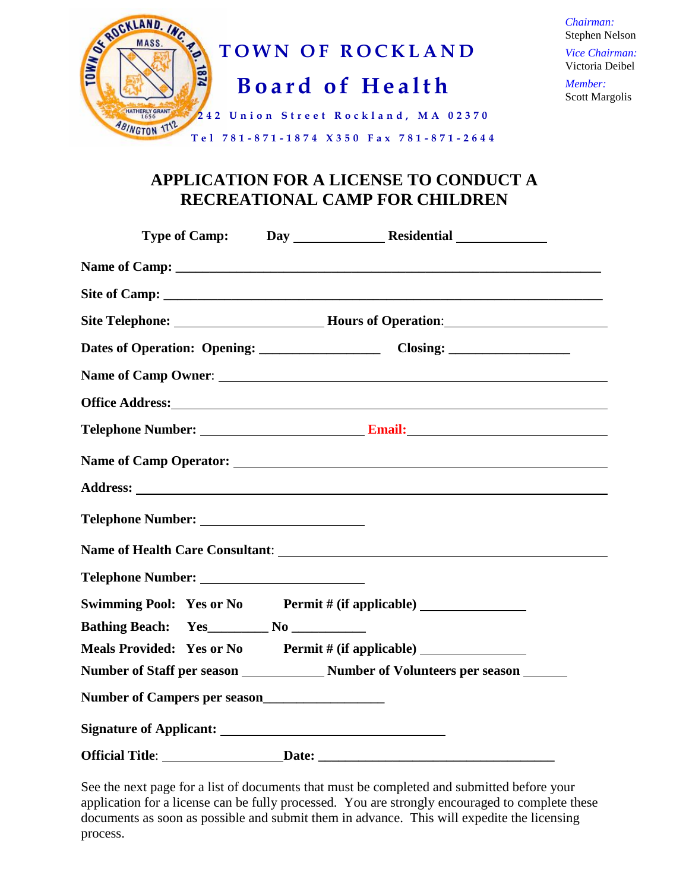

*Chairman:* Stephen Nelson *Vice Chairman:* Victoria Deibel

*Member:* Scott Margolis

## **APPLICATION FOR A LICENSE TO CONDUCT A RECREATIONAL CAMP FOR CHILDREN**

|                        | Site Telephone: Mours of Operation:                                                                                                                                                                                                  |
|------------------------|--------------------------------------------------------------------------------------------------------------------------------------------------------------------------------------------------------------------------------------|
|                        |                                                                                                                                                                                                                                      |
|                        | Name of Camp Owner:                                                                                                                                                                                                                  |
|                        | Office Address: <u>with a series of the series of the series of the series of the series of the series of the series of the series of the series of the series of the series of the series of the series of the series of the se</u> |
|                        |                                                                                                                                                                                                                                      |
|                        |                                                                                                                                                                                                                                      |
|                        |                                                                                                                                                                                                                                      |
|                        |                                                                                                                                                                                                                                      |
|                        |                                                                                                                                                                                                                                      |
| Telephone Number:      |                                                                                                                                                                                                                                      |
|                        | Swimming Pool: Yes or No Permit # (if applicable) ______________________________                                                                                                                                                     |
|                        |                                                                                                                                                                                                                                      |
|                        | Meals Provided: Yes or No Permit # (if applicable)                                                                                                                                                                                   |
|                        |                                                                                                                                                                                                                                      |
|                        |                                                                                                                                                                                                                                      |
|                        |                                                                                                                                                                                                                                      |
| <b>Official Title:</b> |                                                                                                                                                                                                                                      |

See the next page for a list of documents that must be completed and submitted before your application for a license can be fully processed. You are strongly encouraged to complete these documents as soon as possible and submit them in advance. This will expedite the licensing process.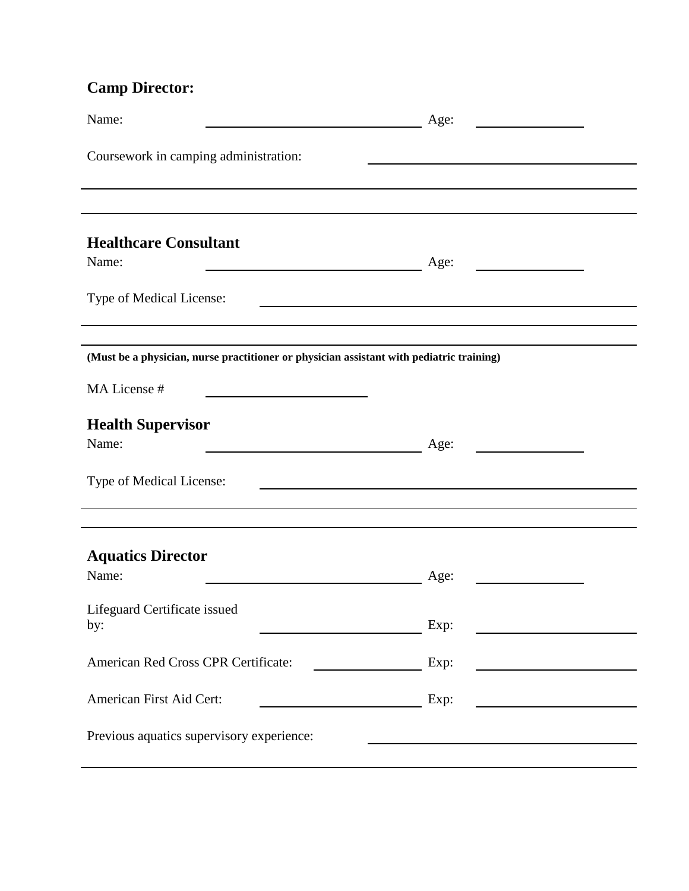## **Camp Director:**

| Name:<br><u> 1990 - Johann Barbara, martin a</u>                                                                              | Age:                                                     |  |  |  |
|-------------------------------------------------------------------------------------------------------------------------------|----------------------------------------------------------|--|--|--|
| Coursework in camping administration:                                                                                         |                                                          |  |  |  |
|                                                                                                                               |                                                          |  |  |  |
| <b>Healthcare Consultant</b>                                                                                                  |                                                          |  |  |  |
| Name:<br><u> 1980 - Jan Barnett, fransk politik (d. 1980)</u>                                                                 | Age:                                                     |  |  |  |
| Type of Medical License:                                                                                                      |                                                          |  |  |  |
|                                                                                                                               |                                                          |  |  |  |
| (Must be a physician, nurse practitioner or physician assistant with pediatric training)                                      |                                                          |  |  |  |
| MA License #                                                                                                                  |                                                          |  |  |  |
| <b>Health Supervisor</b>                                                                                                      |                                                          |  |  |  |
| Name:<br><u> 1980 - Johann Barn, mars ar breithinn ar breithinn ar breithinn ar breithinn ar breithinn ar breithinn ar br</u> | Age:                                                     |  |  |  |
| Type of Medical License:<br><u> 1989 - Johann Barbara, martxa alemaniar argametria (h. 1989).</u>                             |                                                          |  |  |  |
|                                                                                                                               |                                                          |  |  |  |
|                                                                                                                               |                                                          |  |  |  |
| <b>Aquatics Director</b><br>Name:                                                                                             | Age:                                                     |  |  |  |
|                                                                                                                               |                                                          |  |  |  |
| Lifeguard Certificate issued<br>by:                                                                                           | Exp:                                                     |  |  |  |
|                                                                                                                               |                                                          |  |  |  |
| American Red Cross CPR Certificate:                                                                                           | Exp:<br><u> 1990 - Johann Barbara, martxa a filial a</u> |  |  |  |
| American First Aid Cert:                                                                                                      | Exp:                                                     |  |  |  |
| Previous aquatics supervisory experience:                                                                                     |                                                          |  |  |  |